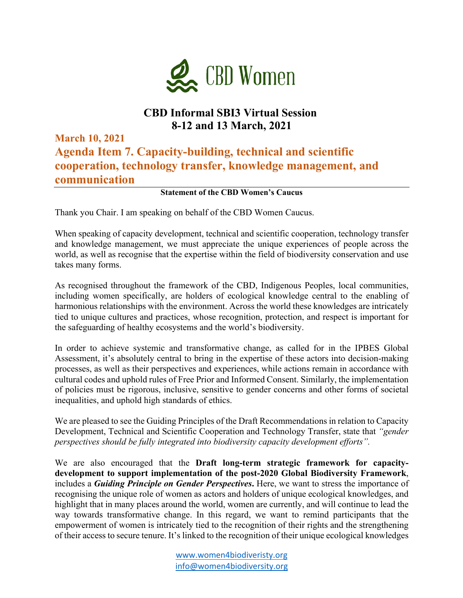

## **CBD Informal SBI3 Virtual Session 8-12 and 13 March, 2021**

**March 10, 2021 Agenda Item 7. Capacity-building, technical and scientific cooperation, technology transfer, knowledge management, and communication**

## **Statement of the CBD Women's Caucus**

Thank you Chair. I am speaking on behalf of the CBD Women Caucus.

When speaking of capacity development, technical and scientific cooperation, technology transfer and knowledge management, we must appreciate the unique experiences of people across the world, as well as recognise that the expertise within the field of biodiversity conservation and use takes many forms.

As recognised throughout the framework of the CBD, Indigenous Peoples, local communities, including women specifically, are holders of ecological knowledge central to the enabling of harmonious relationships with the environment. Across the world these knowledges are intricately tied to unique cultures and practices, whose recognition, protection, and respect is important for the safeguarding of healthy ecosystems and the world's biodiversity.

In order to achieve systemic and transformative change, as called for in the IPBES Global Assessment, it's absolutely central to bring in the expertise of these actors into decision-making processes, as well as their perspectives and experiences, while actions remain in accordance with cultural codes and uphold rules of Free Prior and Informed Consent. Similarly, the implementation of policies must be rigorous, inclusive, sensitive to gender concerns and other forms of societal inequalities, and uphold high standards of ethics.

We are pleased to see the Guiding Principles of the Draft Recommendations in relation to Capacity Development, Technical and Scientific Cooperation and Technology Transfer, state that *"gender perspectives should be fully integrated into biodiversity capacity development efforts".*

We are also encouraged that the **Draft long-term strategic framework for capacitydevelopment to support implementation of the post-2020 Global Biodiversity Framework**, includes a *Guiding Principle on Gender Perspectives***.** Here, we want to stress the importance of recognising the unique role of women as actors and holders of unique ecological knowledges, and highlight that in many places around the world, women are currently, and will continue to lead the way towards transformative change. In this regard, we want to remind participants that the empowerment of women is intricately tied to the recognition of their rights and the strengthening of their access to secure tenure. It's linked to the recognition of their unique ecological knowledges